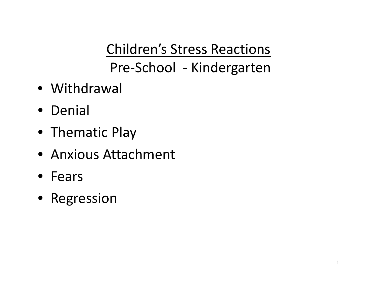Children's Stress Reactions Pre‐School ‐ Kindergarten

- Withdrawal
- Denial
- Thematic Play
- Anxious Attachment
- Fears
- Regression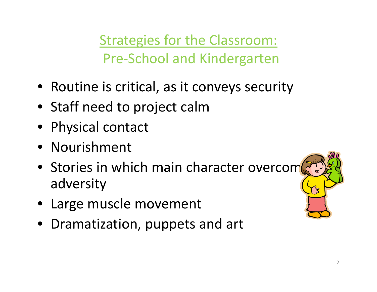Strategies for the Classroom: Pre‐School and Kindergarten

- Routine is critical, as it conveys security
- Staff need to project calm
- Physical contact
- Nourishment
- Stories in which main character overcom $\mathbb{Z}^*$ adversity
- Large muscle movement
- Dramatization, puppets and art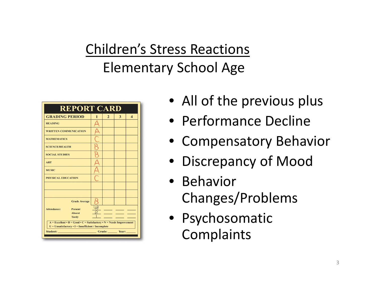### Children's Stress Reactions Elementary School Age



- All of the previous plus
- Performance Decline
- Compensatory Behavior
- Discrepancy of Mood
- Behavior Changes/Problems
- Psychosomatic Complaints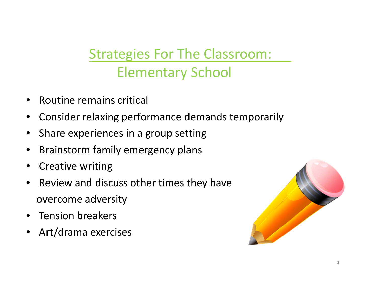### Strategies For The Classroom: Elementary School

- •**•** Routine remains critical
- •Consider relaxing performance demands temporarily
- •• Share experiences in a group setting
- $\bullet$ **•** Brainstorm family emergency plans
- •• Creative writing
- $\bullet$ • Review and discuss other times they have overcome adversity
- •• Tension breakers
- •Art/drama exercises

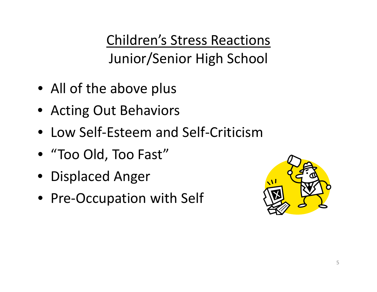Children's Stress Reactions Junior/Senior High School

- All of the above plus
- Acting Out Behaviors
- Low Self‐Esteem and Self‐Criticism
- "Too Old, Too Fast"
- Displaced Anger
- Pre‐Occupation with Self

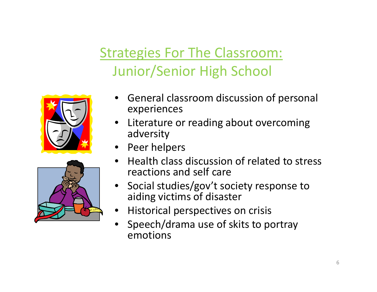### Strategies For The Classroom: Junior/Senior High School





- • General classroom discussion of personal experiences
- Literature or reading about overcoming adversity
- Peer helpers
- •• Health class discussion of related to stress reactions and self care
- Social studies/gov't society response to aiding victims of disaster
- •Historical perspectives on crisis
- • Speech/drama use of skits to portray emotions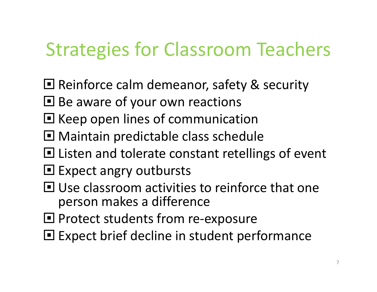## Strategies for Classroom Teachers

- **Reinforce calm demeanor, safety & security**
- **□ Be aware of your own reactions**
- **E** Keep open lines of communication
- **Maintain predictable class schedule**
- **□ Listen and tolerate constant retellings of event**
- **□ Expect angry outbursts**
- **□ Use classroom activities to reinforce that one** person makes <sup>a</sup> difference
- **□ Protect students from re-exposure**
- **E** Expect brief decline in student performance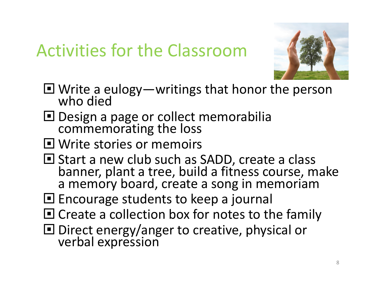## Activities for the Classroom



- $\Box$  Write a eulogy—writings that honor the person who died who died
- **□** Design a page or collect memorabilia commemorating the loss
- **□ Write stories or memoirs**
- **□ Start a new club such as SADD, create a class** banner, plant <sup>a</sup> tree, build <sup>a</sup> fitness course, make a memory board, create <sup>a</sup> song in memoriam
- **E** Encourage students to keep a journal
- $\blacksquare$  Create a collection box for notes to the family
- D Direct energy/anger to creative, physical or<br>verbal expression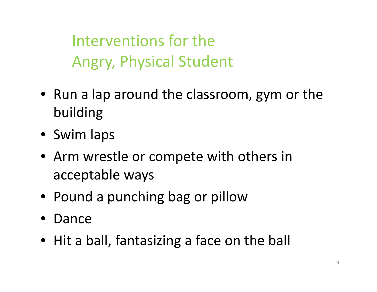Interventions for theAngry, Physical Student

- Run <sup>a</sup> lap around the classroom, gym or the building
- Swim laps
- Arm wrestle or compete with others in acceptable ways
- Pound <sup>a</sup> punching bag or pillow
- Dance
- Hit a ball, fantasizing <sup>a</sup> face on the ball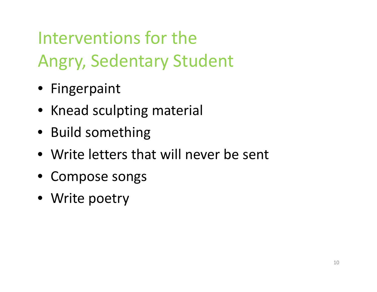# Interventions for theAngry, Sedentary Student

- Fingerpaint
- Knead sculpting material
- Build something
- Write letters that will never be sent
- Compose songs
- Write poetry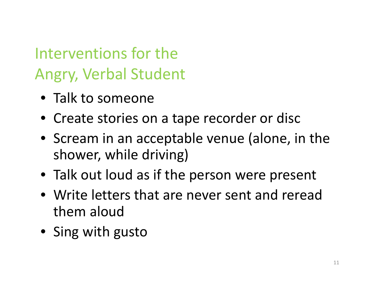## Interventions for theAngry, Verbal Student

- Talk to someone
- Create stories on <sup>a</sup> tape recorder or disc
- Scream in an acceptable venue (alone, in the shower, while driving)
- Talk out loud as if the person were present
- Write letters that are never sent and reread them aloud
- Sing with gusto